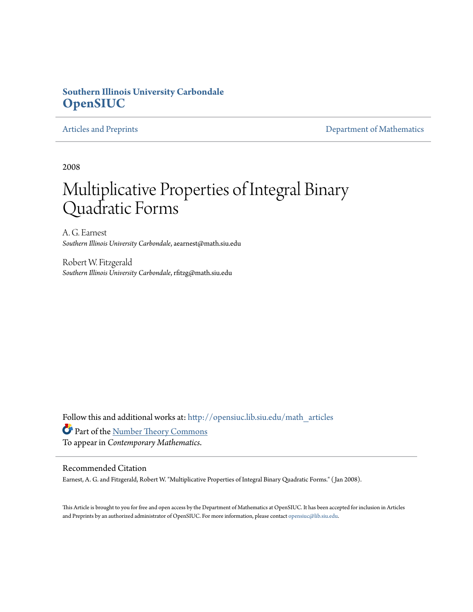## **Southern Illinois University Carbondale [OpenSIUC](http://opensiuc.lib.siu.edu?utm_source=opensiuc.lib.siu.edu%2Fmath_articles%2F2&utm_medium=PDF&utm_campaign=PDFCoverPages)**

[Articles and Preprints](http://opensiuc.lib.siu.edu/math_articles?utm_source=opensiuc.lib.siu.edu%2Fmath_articles%2F2&utm_medium=PDF&utm_campaign=PDFCoverPages) **[Department of Mathematics](http://opensiuc.lib.siu.edu/math?utm_source=opensiuc.lib.siu.edu%2Fmath_articles%2F2&utm_medium=PDF&utm_campaign=PDFCoverPages)** 

2008

# Multiplicative Properties of Integral Binary Quadratic Forms

A. G. Earnest *Southern Illinois University Carbondale*, aearnest@math.siu.edu

Robert W. Fitzgerald *Southern Illinois University Carbondale*, rfitzg@math.siu.edu

Follow this and additional works at: [http://opensiuc.lib.siu.edu/math\\_articles](http://opensiuc.lib.siu.edu/math_articles?utm_source=opensiuc.lib.siu.edu%2Fmath_articles%2F2&utm_medium=PDF&utm_campaign=PDFCoverPages)

Part of the [Number Theory Commons](http://network.bepress.com/hgg/discipline/183?utm_source=opensiuc.lib.siu.edu%2Fmath_articles%2F2&utm_medium=PDF&utm_campaign=PDFCoverPages) To appear in *Contemporary Mathematics*.

#### Recommended Citation

Earnest, A. G. and Fitzgerald, Robert W. "Multiplicative Properties of Integral Binary Quadratic Forms." ( Jan 2008).

This Article is brought to you for free and open access by the Department of Mathematics at OpenSIUC. It has been accepted for inclusion in Articles and Preprints by an authorized administrator of OpenSIUC. For more information, please contact [opensiuc@lib.siu.edu](mailto:opensiuc@lib.siu.edu).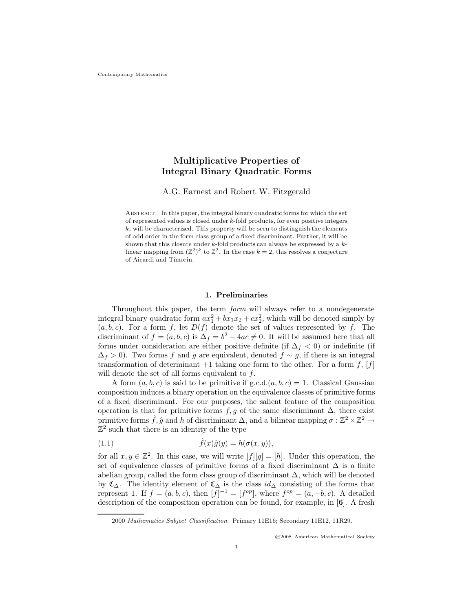### **Multiplicative Properties of Integral Binary Quadratic Forms**

A.G. Earnest and Robert W. Fitzgerald

Abstract. In this paper, the integral binary quadratic forms for which the set of represented values is closed under *k*-fold products, for even positive integers  $k$ , will be characterized. This property will be seen to distinguish the elements of odd order in the form class group of a fixed discriminant. Further, it will be shown that this closure under *k*-fold products can always be expressed by a *k*linear mapping from  $(\mathbb{Z}^2)^k$  to  $\mathbb{Z}^2$ . In the case  $k = 2$ , this resolves a conjecture of Aicardi and Timorin.

#### **1. Preliminaries**

Throughout this paper, the term *form* will always refer to a nondegenerate integral binary quadratic form  $ax_1^2 + bx_1x_2 + cx_2^2$ , which will be denoted simply by  $(a, b, c)$ . For a form f, let  $D(f)$  denote the set of values represented by f. The discriminant of  $f = (a, b, c)$  is  $\Delta_f = b^2 - 4ac \neq 0$ . It will be assumed here that all forms under consideration are either positive definite (if  $\Delta_f < 0$ ) or indefinite (if  $\Delta_f > 0$ ). Two forms f and g are equivalent, denoted  $f \sim g$ , if there is an integral transformation of determinant  $+1$  taking one form to the other. For a form f, [f] will denote the set of all forms equivalent to  $f$ .

A form  $(a, b, c)$  is said to be primitive if g.c.d. $(a, b, c) = 1$ . Classical Gaussian composition induces a binary operation on the equivalence classes of primitive forms of a fixed discriminant. For our purposes, the salient feature of the composition operation is that for primitive forms f, g of the same discriminant  $\Delta$ , there exist primitive forms  $\tilde{f}$ ,  $\hat{g}$  and h of discriminant  $\Delta$ , and a bilinear mapping  $\sigma : \mathbb{Z}^2 \times \mathbb{Z}^2 \to$  $\mathbb{Z}^2$  such that there is an identity of the type

(1.1) 
$$
\hat{f}(x)\hat{g}(y) = h(\sigma(x,y)),
$$

for all  $x, y \in \mathbb{Z}^2$ . In this case, we will write  $[f][g]=[h]$ . Under this operation, the set of equivalence classes of primitive forms of a fixed discriminant  $\Delta$  is a finite abelian group, called the form class group of discriminant  $\Delta$ , which will be denoted by  $\mathfrak{C}_{\Delta}$ . The identity element of  $\mathfrak{C}_{\Delta}$  is the class  $id_{\Delta}$  consisting of the forms that represent 1. If  $f = (a, b, c)$ , then  $[f]^{-1} = [f^{op}]$ , where  $f^{op} = (a, -b, c)$ . A detailed description of the composition operation can be found, for example, in [**6**]. A fresh

-c 2008 American Mathematical Society

<sup>2000</sup> *Mathematics Subject Classification.* Primary 11E16; Secondary 11E12, 11R29.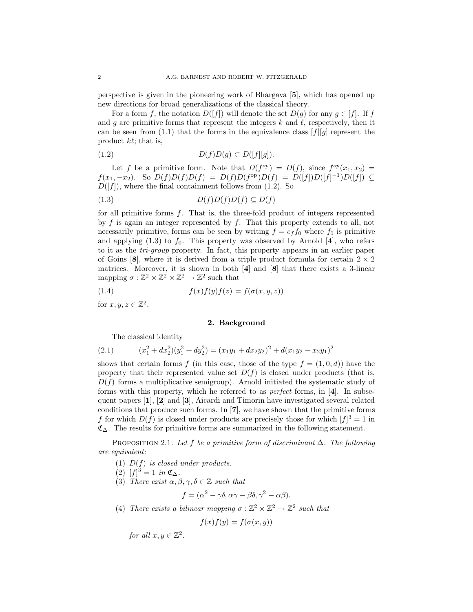perspective is given in the pioneering work of Bhargava [**5**], which has opened up new directions for broad generalizations of the classical theory.

For a form f, the notation  $D([f])$  will denote the set  $D(g)$  for any  $g \in [f]$ . If f and g are primitive forms that represent the integers  $k$  and  $\ell$ , respectively, then it can be seen from (1.1) that the forms in the equivalence class  $[f][g]$  represent the product  $k\ell$ ; that is,

$$
(1.2) \tD(f)D(g) \subset D([f][g]).
$$

Let f be a primitive form. Note that  $D(f^{op}) = D(f)$ , since  $f^{op}(x_1, x_2) =$  $f(x_1, -x_2)$ . So  $D(f)D(f)D(f) = D(f)D(f^{\text{op}})D(f) = D([f])D([f]^{-1})D([f])$  ⊆  $D([f])$ , where the final containment follows from (1.2). So

$$
(1.3) \t D(f)D(f)D(f) \subseteq D(f)
$$

for all primitive forms f. That is, the three-fold product of integers represented by  $f$  is again an integer represented by  $f$ . That this property extends to all, not necessarily primitive, forms can be seen by writing  $f = c_f f_0$  where  $f_0$  is primitive and applying  $(1.3)$  to  $f_0$ . This property was observed by Arnold [4], who refers to it as the *tri-group* property. In fact, this property appears in an earlier paper of Goins  $[8]$ , where it is derived from a triple product formula for certain  $2 \times 2$ matrices. Moreover, it is shown in both [**4**] and [**8**] that there exists a 3-linear mapping  $\sigma : \mathbb{Z}^2 \times \mathbb{Z}^2 \times \mathbb{Z}^2 \to \mathbb{Z}^2$  such that

(1.4) 
$$
f(x)f(y)f(z) = f(\sigma(x, y, z))
$$

for  $x, y, z \in \mathbb{Z}^2$ .

#### **2. Background**

The classical identity

(2.1) 
$$
(x_1^2 + dx_2^2)(y_1^2 + dy_2^2) = (x_1y_1 + dx_2y_2)^2 + d(x_1y_2 - x_2y_1)^2
$$

shows that certain forms f (in this case, those of the type  $f = (1, 0, d)$ ) have the property that their represented value set  $D(f)$  is closed under products (that is,  $D(f)$  forms a multiplicative semigroup). Arnold initiated the systematic study of forms with this property, which he referred to as *perfect* forms, in [**4**]. In subsequent papers [**1**], [**2**] and [**3**], Aicardi and Timorin have investigated several related conditions that produce such forms. In [**7**], we have shown that the primitive forms f for which  $D(f)$  is closed under products are precisely those for which  $|f|^3 = 1$  in  $\mathfrak{C}_{\Delta}$ . The results for primitive forms are summarized in the following statement.

Proposition 2.1. *Let* f *be a primitive form of discriminant* Δ*. The following are equivalent:*

- (1) D(f) *is closed under products.*
- (2)  $[f]^3 = 1$  *in*  $\mathfrak{C}_{\Delta}$ .
- (3) *There exist*  $\alpha, \beta, \gamma, \delta \in \mathbb{Z}$  *such that*

$$
f = (\alpha^2 - \gamma \delta, \alpha \gamma - \beta \delta, \gamma^2 - \alpha \beta).
$$

(4) *There exists a bilinear mapping*  $\sigma : \mathbb{Z}^2 \times \mathbb{Z}^2 \to \mathbb{Z}^2$  *such that* 

$$
f(x)f(y) = f(\sigma(x, y))
$$

*for all*  $x, y \in \mathbb{Z}^2$ .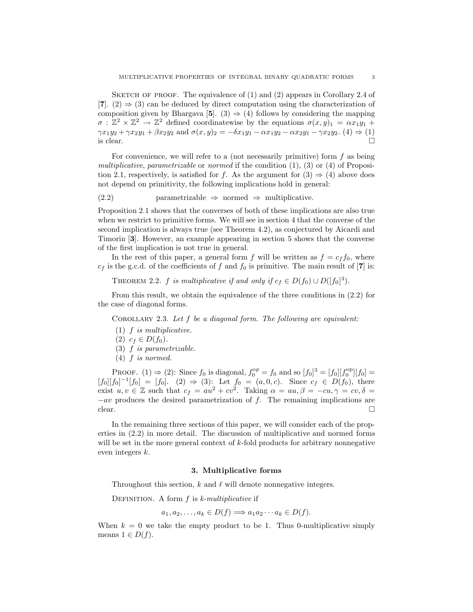SKETCH OF PROOF. The equivalence of  $(1)$  and  $(2)$  appears in Corollary 2.4 of [**7**]. (2)  $\Rightarrow$  (3) can be deduced by direct computation using the characterization of composition given by Bhargava [5]. (3)  $\Rightarrow$  (4) follows by considering the mapping  $\sigma : \mathbb{Z}^2 \times \mathbb{Z}^2 \to \mathbb{Z}^2$  defined coordinatewise by the equations  $\sigma(x, y)_1 = \alpha x_1 y_1 +$  $\gamma x_1y_2 + \gamma x_2y_1 + \beta x_2y_2$  and  $\sigma(x, y)_2 = -\delta x_1y_1 - \alpha x_1y_2 - \alpha x_2y_1 - \gamma x_2y_2$ . (4)  $\Rightarrow$  (1) is clear. is clear.

For convenience, we will refer to a (not necessarily primitive) form  $f$  as being *multiplicative*, *parametrizable* or *normed* if the condition (1), (3) or (4) of Proposition 2.1, respectively, is satisfied for f. As the argument for  $(3) \Rightarrow (4)$  above does not depend on primitivity, the following implications hold in general:

(2.2) parametrizable  $\Rightarrow$  normed  $\Rightarrow$  multiplicative.

Proposition 2.1 shows that the converses of both of these implications are also true when we restrict to primitive forms. We will see in section 4 that the converse of the second implication is always true (see Theorem 4.2), as conjectured by Aicardi and Timorin [**3**]. However, an example appearing in section 5 shows that the converse of the first implication is not true in general.

In the rest of this paper, a general form f will be written as  $f = c_f f_0$ , where  $c_f$  is the g.c.d. of the coefficients of f and  $f_0$  is primitive. The main result of [7] is:

THEOREM 2.2. f *is multiplicative if and only if*  $c_f \in D(f_0) \cup D([f_0]^3)$ .

From this result, we obtain the equivalence of the three conditions in (2.2) for the case of diagonal forms.

Corollary 2.3. *Let* f *be a diagonal form. The following are equivalent:*

- (1) f *is multiplicative.*
- (2)  $c_f \in D(f_0)$ .
- (3) f *is parametrizable.*
- (4) f *is normed.*

PROOF. (1)  $\Rightarrow$  (2): Since  $f_0$  is diagonal,  $f_0^{op} = f_0$  and so  $[f_0]^3 = [f_0][f_0^{op}][f_0] =$  $[f_0][f_0]^{-1}[f_0] = [f_0].$  (2)  $\Rightarrow$  (3): Let  $f_0 = (a, 0, c)$ . Since  $c_f \in D(f_0)$ , there exist  $u, v \in \mathbb{Z}$  such that  $c_f = au^2 + cv^2$ . Taking  $\alpha = au, \beta = -cu, \gamma = cv, \delta =$  $-a\upsilon$  produces the desired parametrization of f. The remaining implications are clear. clear.

In the remaining three sections of this paper, we will consider each of the properties in (2.2) in more detail. The discussion of multiplicative and normed forms will be set in the more general context of k-fold products for arbitrary nonnegative even integers k.

#### **3. Multiplicative forms**

Throughout this section,  $k$  and  $\ell$  will denote nonnegative integers.

DEFINITION. A form f is *k-multiplicative* if

$$
a_1, a_2, \ldots, a_k \in D(f) \Longrightarrow a_1 a_2 \cdots a_k \in D(f).
$$

When  $k = 0$  we take the empty product to be 1. Thus 0-multiplicative simply means  $1 \in D(f)$ .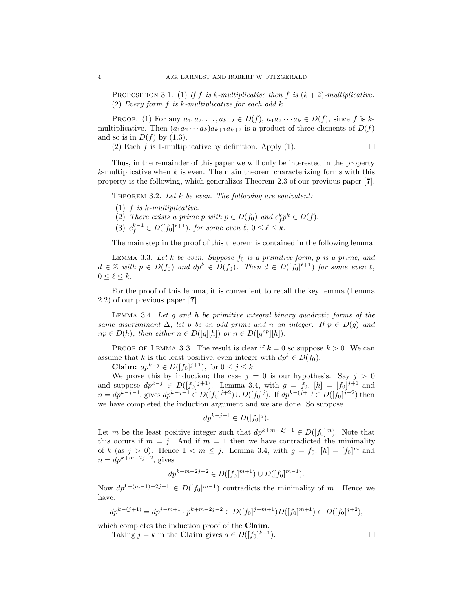PROPOSITION 3.1. (1) If f is k-multiplicative then f is  $(k+2)$ -multiplicative. (2) *Every form* f *is* k*-multiplicative for each odd* k*.*

PROOF. (1) For any  $a_1, a_2, \ldots, a_{k+2} \in D(f)$ ,  $a_1 a_2 \cdots a_k \in D(f)$ , since f is kmultiplicative. Then  $(a_1a_2 \cdots a_k)a_{k+1}a_{k+2}$  is a product of three elements of  $D(f)$ and so is in  $D(f)$  by (1.3).

(2) Each f is 1-multiplicative by definition. Apply (1).  $\Box$ 

Thus, in the remainder of this paper we will only be interested in the property  $k$ -multiplicative when k is even. The main theorem characterizing forms with this property is the following, which generalizes Theorem 2.3 of our previous paper [**7**].

Theorem 3.2. *Let* k *be even. The following are equivalent:*

- (1) f *is* k*-multiplicative.*
- (2) *There exists a prime p with*  $p \in D(f_0)$  *and*  $c_f^k p^k \in D(f)$ *.*
- (3)  $c_f^{k-1} \in D([f_0]^{\ell+1})$ , for some even  $\ell, 0 \leq \ell \leq k$ .

The main step in the proof of this theorem is contained in the following lemma.

LEMMA 3.3. Let  $k$  be even. Suppose  $f_0$  is a primitive form,  $p$  is a prime, and  $d \in \mathbb{Z}$  with  $p \in D(f_0)$  and  $dp^k \in D(f_0)$ . Then  $d \in D([f_0]^{\ell+1})$  for some even  $\ell$ ,  $0 \leq \ell \leq k$ .

For the proof of this lemma, it is convenient to recall the key lemma (Lemma 2.2) of our previous paper [**7**].

Lemma 3.4. *Let* g *and* h *be primitive integral binary quadratic forms of the same discriminant*  $\Delta$ *, let* p *be an odd prime and* n *an integer.* If  $p \in D(q)$  *and*  $np \in D(h)$ , then either  $n \in D([g][h])$  or  $n \in D([g^{op}][h])$ .

PROOF OF LEMMA 3.3. The result is clear if  $k = 0$  so suppose  $k > 0$ . We can assume that k is the least positive, even integer with  $dp^k \in D(f_0)$ .

**Claim:**  $dp^{k-j} \in D([f_0]^{j+1})$ , for  $0 \le j \le k$ .

We prove this by induction; the case  $j = 0$  is our hypothesis. Say  $j > 0$ and suppose  $dp^{k-j} \in D([f_0]^{j+1})$ . Lemma 3.4, with  $g = f_0$ ,  $[h] = [f_0]^{j+1}$  and  $n = dp^{k-j-1}$ , gives  $dp^{k-j-1} \in D([f_0]^{j+2}) \cup D([f_0]^{j})$ . If  $dp^{k-(j+1)} \in D([f_0]^{j+2})$  then we have completed the induction argument and we are done. So suppose

$$
dp^{k-j-1} \in D([f_0]^j).
$$

Let m be the least positive integer such that  $dp^{k+m-2j-1} \in D([f_0]^m)$ . Note that this occurs if  $m = j$ . And if  $m = 1$  then we have contradicted the minimality of k (as  $j > 0$ ). Hence  $1 < m \le j$ . Lemma 3.4, with  $g = f_0$ ,  $[h] = [f_0]^m$  and  $n = dp^{k+m-2j-2}$ , gives

$$
dp^{k+m-2j-2} \in D([f_0]^{m+1}) \cup D([f_0]^{m-1}).
$$

Now  $dp^{k+(m-1)-2j-1} \in D([f_0]^{m-1})$  contradicts the minimality of m. Hence we have:

$$
dp^{k-(j+1)} = dp^{j-m+1} \cdot p^{k+m-2j-2} \in D([f_0]^{j-m+1})D([f_0]^{m+1}) \subset D([f_0]^{j+2}),
$$

which completes the induction proof of the **Claim**.

Taking  $j = k$  in the **Claim** gives  $d \in D([f_0]^{k+1})$ .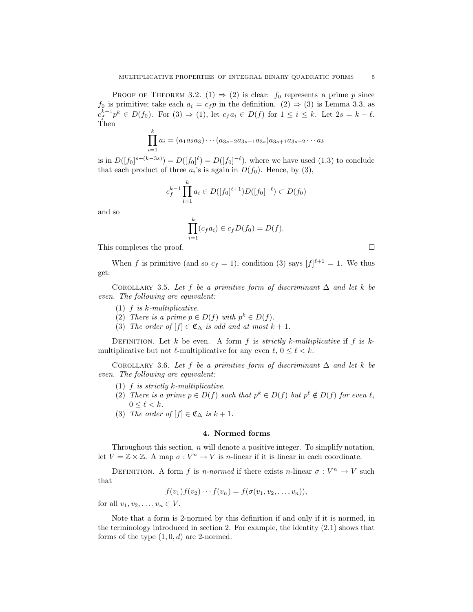PROOF OF THEOREM 3.2. (1)  $\Rightarrow$  (2) is clear:  $f_0$  represents a prime p since  $f_0$  is primitive; take each  $a_i = c_f p$  in the definition.  $(2) \Rightarrow (3)$  is Lemma 3.3, as  $c_f^{k-1}p^k \in D(f_0)$ . For  $(3) \Rightarrow (1)$ , let  $c_f a_i \in D(f)$  for  $1 \leq i \leq k$ . Let  $2s = k - \ell$ . Then

$$
\prod_{i=1}^{k} a_i = (a_1 a_2 a_3) \cdots (a_{3s-2} a_{3s-1} a_{3s}) a_{3s+1} a_{3s+2} \cdots a_k
$$

is in  $D([f_0]^{s+(k-3s)}) = D([f_0]^{\ell}) = D([f_0]^{-\ell})$ , where we have used  $(1.3)$  to conclude that each product of three  $a_i$ 's is again in  $D(f_0)$ . Hence, by (3),

$$
c_f^{k-1} \prod_{i=1}^k a_i \in D([f_0]^{\ell+1}) D([f_0]^{-\ell}) \subset D(f_0)
$$

and so

$$
\prod_{i=1}^k (c_f a_i) \in c_f D(f_0) = D(f).
$$

This completes the proof.  $\Box$ 

When f is primitive (and so  $c_f = 1$ ), condition (3) says  $[f]^{\ell+1} = 1$ . We thus get:

COROLLARY 3.5. Let f be a primitive form of discriminant  $\Delta$  and let k be *even. The following are equivalent:*

- (1) f *is* k*-multiplicative.*
- (2) *There is a prime*  $p \in D(f)$  *with*  $p^k \in D(f)$ *.*
- (3) *The order of*  $[f] \in \mathfrak{C}_{\Delta}$  *is odd and at most*  $k + 1$ *.*

DEFINITION. Let  $k$  be even. A form  $f$  is *strictly k-multiplicative* if  $f$  is  $k$ multiplicative but not  $\ell$ -multiplicative for any even  $\ell, 0 \leq \ell < k$ .

COROLLARY 3.6. Let f be a primitive form of discriminant  $\Delta$  and let k be *even. The following are equivalent:*

- (1) f *is strictly* k*-multiplicative.*
- (2) *There is a prime*  $p \in D(f)$  *such that*  $p^k \in D(f)$  *but*  $p^{\ell} \notin D(f)$  *for even*  $\ell$ *,*  $0 \leq \ell < k$ .
- (3) *The order of*  $[f] \in \mathfrak{C}_{\Delta}$  *is*  $k + 1$ *.*

#### **4. Normed forms**

Throughout this section,  $n$  will denote a positive integer. To simplify notation, let  $V = \mathbb{Z} \times \mathbb{Z}$ . A map  $\sigma : V^n \to V$  is *n*-linear if it is linear in each coordinate.

DEFINITION. A form f is *n-normed* if there exists n-linear  $\sigma: V^n \to V$  such that

$$
f(v_1)f(v_2)\cdots f(v_n)=f(\sigma(v_1,v_2,\ldots,v_n)),
$$

for all  $v_1, v_2, \ldots, v_n \in V$ .

Note that a form is 2-normed by this definition if and only if it is normed, in the terminology introduced in section 2. For example, the identity (2.1) shows that forms of the type  $(1, 0, d)$  are 2-normed.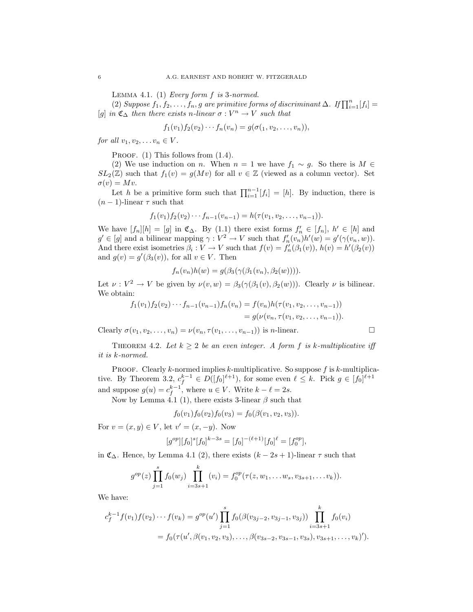Lemma 4.1. (1) *Every form* f *is* 3*-normed.*

(2) *Suppose*  $f_1, f_2, \ldots, f_n, g$  are primitive forms of discriminant  $\Delta$ . If  $\prod_{i=1}^n [f_i] =$ [g] *in*  $\mathfrak{C}_{\Delta}$  *then there exists n*-linear  $\sigma : V^n \to V$  *such that* 

$$
f_1(v_1)f_2(v_2)\cdots f_n(v_n)=g(\sigma(1,v_2,\ldots,v_n)),
$$

*for all*  $v_1, v_2, \ldots v_n \in V$ *.* 

PROOF.  $(1)$  This follows from  $(1.4)$ .

(2) We use induction on *n*. When  $n = 1$  we have  $f_1 \sim g$ . So there is  $M \in$  $SL_2(\mathbb{Z})$  such that  $f_1(v) = g(Mv)$  for all  $v \in \mathbb{Z}$  (viewed as a column vector). Set  $\sigma(v) = Mv.$ 

Let h be a primitive form such that  $\prod_{i=1}^{n-1} [f_i] = [h]$ . By induction, there is  $(n-1)$ -linear  $\tau$  such that

$$
f_1(v_1)f_2(v_2)\cdots f_{n-1}(v_{n-1})=h(\tau(v_1,v_2,\ldots,v_{n-1})).
$$

We have  $[f_n][h] = [g]$  in  $\mathfrak{C}_{\Delta}$ . By (1.1) there exist forms  $f'_n \in [f_n], h' \in [h]$  and  $g' \in [g]$  and a bilinear mapping  $\gamma : V^2 \to V$  such that  $f'_n(v_n)h'(w) = g'(\gamma(v_n, w))$ . And there exist isometries  $\beta_i : V \to V$  such that  $f(v) = f'_n(\beta_1(v)), h(v) = h'(\beta_2(v))$ and  $g(v) = g'(\beta_3(v))$ , for all  $v \in V$ . Then

$$
f_n(v_n)h(w) = g(\beta_3(\gamma(\beta_1(v_n), \beta_2(w))))
$$

Let  $\nu : V^2 \to V$  be given by  $\nu(v, w) = \beta_3(\gamma(\beta_1(v), \beta_2(w)))$ . Clearly  $\nu$  is bilinear. We obtain:

$$
f_1(v_1)f_2(v_2)\cdots f_{n-1}(v_{n-1})f_n(v_n) = f(v_n)h(\tau(v_1, v_2, \ldots, v_{n-1}))
$$
  
=  $g(\nu(v_n, \tau(v_1, v_2, \ldots, v_{n-1})).$ 

Clearly  $\sigma(v_1, v_2, \ldots, v_n) = \nu(v_n, \tau(v_1, \ldots, v_{n-1}))$  is *n*-linear.

THEOREM 4.2. Let  $k \geq 2$  be an even integer. A form f is k-multiplicative iff *it is* k*-normed.*

PROOF. Clearly k-normed implies k-multiplicative. So suppose  $f$  is k-multiplicative. By Theorem 3.2,  $c_f^{k-1} \in D([f_0]^{\ell+1})$ , for some even  $\ell \leq k$ . Pick  $g \in [f_0]^{\ell+1}$ and suppose  $g(u) = c_f^{k-1}$ , where  $u \in V$ . Write  $k - \ell = 2s$ .

Now by Lemma 4.1 (1), there exists 3-linear  $\beta$  such that

$$
f_0(v_1)f_0(v_2)f_0(v_3) = f_0(\beta(v_1, v_2, v_3)).
$$

For  $v = (x, y) \in V$ , let  $v' = (x, -y)$ . Now

$$
[g^{op}][f_0]^s[f_0]^{k-3s} = [f_0]^{-(\ell+1)}[f_0]^{\ell} = [f_0^{op}],
$$

in  $\mathfrak{C}_{\Delta}$ . Hence, by Lemma 4.1 (2), there exists  $(k-2s+1)$ -linear  $\tau$  such that

$$
g^{op}(z)\prod_{j=1}^s f_0(w_j)\prod_{i=3s+1}^k (v_i) = f_0^{op}(\tau(z, w_1, \ldots w_s, v_{3s+1}, \ldots v_k)).
$$

We have:

$$
c_f^{k-1} f(v_1) f(v_2) \cdots f(v_k) = g^{op}(u') \prod_{j=1}^s f_0(\beta(v_{3j-2}, v_{3j-1}, v_{3j})) \prod_{i=3s+1}^k f_0(v_i)
$$
  
=  $f_0(\tau(u', \beta(v_1, v_2, v_3), \dots, \beta(v_{3s-2}, v_{3s-1}, v_{3s}), v_{3s+1}, \dots, v_k)').$ 

$$
\qquad \qquad \Box
$$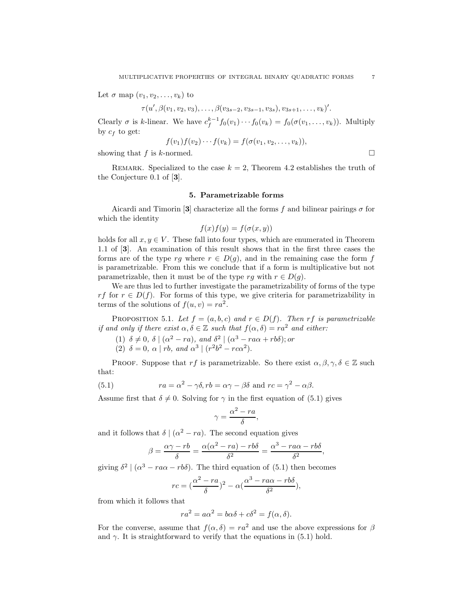Let  $\sigma$  map  $(v_1, v_2, \ldots, v_k)$  to

 $\tau(u',\beta(v_1,v_2,v_3),\ldots,\beta(v_{3s-2},v_{3s-1},v_{3s}),v_{3s+1},\ldots,v_k)'$ .

Clearly  $\sigma$  is k-linear. We have  $c_f^{k-1} f_0(v_1) \cdots f_0(v_k) = f_0(\sigma(v_1, \ldots, v_k))$ . Multiply by  $c_f$  to get:

$$
f(v_1)f(v_2)\cdots f(v_k)=f(\sigma(v_1,v_2,\ldots,v_k)),
$$

showing that  $f$  is  $k$ -normed.

REMARK. Specialized to the case  $k = 2$ , Theorem 4.2 establishes the truth of the Conjecture 0.1 of [**3**].

#### **5. Parametrizable forms**

Aicardi and Timorin [3] characterize all the forms f and bilinear pairings  $\sigma$  for which the identity

$$
f(x)f(y) = f(\sigma(x, y))
$$

holds for all  $x, y \in V$ . These fall into four types, which are enumerated in Theorem 1.1 of [**3**]. An examination of this result shows that in the first three cases the forms are of the type rg where  $r \in D(g)$ , and in the remaining case the form f is parametrizable. From this we conclude that if a form is multiplicative but not parametrizable, then it must be of the type rg with  $r \in D(g)$ .

We are thus led to further investigate the parametrizability of forms of the type rf for  $r \in D(f)$ . For forms of this type, we give criteria for parametrizability in terms of the solutions of  $f(u, v) = ra^2$ .

PROPOSITION 5.1. Let  $f = (a, b, c)$  and  $r \in D(f)$ . Then rf is parametrizable *if and only if there exist*  $\alpha, \delta \in \mathbb{Z}$  *such that*  $f(\alpha, \delta) = ra^2$  *and either:* 

(1)  $\delta \neq 0$ ,  $\delta \mid (\alpha^2 - ra)$ , and  $\delta^2 \mid (\alpha^3 - ra\alpha + rb\delta)$ ; or (2)  $\delta = 0$ ,  $\alpha | rb$ , and  $\alpha^3 | (r^2b^2 - rc\alpha^2)$ .

PROOF. Suppose that rf is parametrizable. So there exist  $\alpha, \beta, \gamma, \delta \in \mathbb{Z}$  such that:

(5.1) 
$$
ra = \alpha^2 - \gamma \delta, rb = \alpha \gamma - \beta \delta \text{ and } rc = \gamma^2 - \alpha \beta.
$$

Assume first that  $\delta \neq 0$ . Solving for  $\gamma$  in the first equation of (5.1) gives

$$
\gamma = \frac{\alpha^2 - ra}{\delta},
$$

and it follows that  $\delta \mid (\alpha^2 - ra)$ . The second equation gives

$$
\beta = \frac{\alpha \gamma - rb}{\delta} = \frac{\alpha(\alpha^2 - ra) - rb\delta}{\delta^2} = \frac{\alpha^3 - ra\alpha - rb\delta}{\delta^2},
$$

giving  $\delta^2 | (\alpha^3 - ra\alpha - rb\delta)$ . The third equation of (5.1) then becomes

$$
rc = \left(\frac{\alpha^2 - ra}{\delta}\right)^2 - \alpha\left(\frac{\alpha^3 - ra\alpha - rb\delta}{\delta^2}\right),
$$

from which it follows that

$$
ra^2 = a\alpha^2 = b\alpha\delta + c\delta^2 = f(\alpha, \delta).
$$

For the converse, assume that  $f(\alpha, \delta) = ra^2$  and use the above expressions for  $\beta$ and  $\gamma$ . It is straightforward to verify that the equations in (5.1) hold.

 $\Box$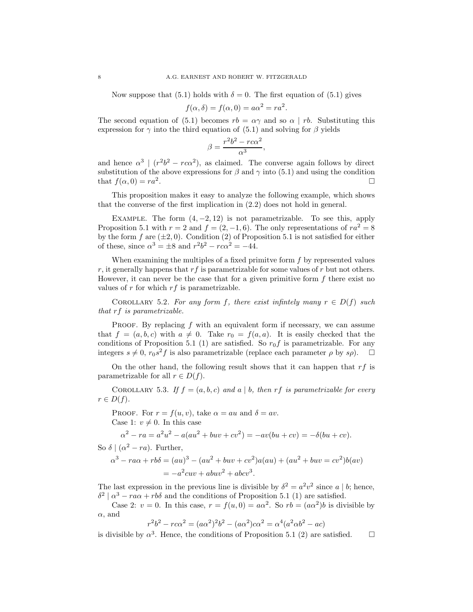Now suppose that (5.1) holds with  $\delta = 0$ . The first equation of (5.1) gives

$$
f(\alpha, \delta) = f(\alpha, 0) = a\alpha^2 = ra^2.
$$

The second equation of (5.1) becomes  $rb = \alpha \gamma$  and so  $\alpha \mid rb$ . Substituting this expression for  $\gamma$  into the third equation of (5.1) and solving for  $\beta$  yields

$$
\beta = \frac{r^2b^2 - r c\alpha^2}{\alpha^3},
$$

and hence  $\alpha^3$  |  $(r^2b^2 - rca^2)$ , as claimed. The converse again follows by direct substitution of the above expressions for  $\beta$  and  $\gamma$  into (5.1) and using the condition that  $f(\alpha, 0) = ra^2$ .

This proposition makes it easy to analyze the following example, which shows that the converse of the first implication in (2.2) does not hold in general.

EXAMPLE. The form  $(4, -2, 12)$  is not parametrizable. To see this, apply Proposition 5.1 with  $r = 2$  and  $f = (2, -1, 6)$ . The only representations of  $ra^2 = 8$ by the form f are  $(\pm 2, 0)$ . Condition (2) of Proposition 5.1 is not satisfied for either of these, since  $\alpha^3 = \pm 8$  and  $r^2b^2 - r c \alpha^2 = -44$ .

When examining the multiples of a fixed primitive form  $f$  by represented values r, it generally happens that  $rf$  is parametrizable for some values of r but not others. However, it can never be the case that for a given primitive form  $f$  there exist no values of  $r$  for which  $rf$  is parametrizable.

COROLLARY 5.2. For any form f, there exist infinitely many  $r \in D(f)$  such *that* rf *is parametrizable.*

PROOF. By replacing  $f$  with an equivalent form if necessary, we can assume that  $f = (a, b, c)$  with  $a \neq 0$ . Take  $r_0 = f(a, a)$ . It is easily checked that the conditions of Proposition 5.1 (1) are satisfied. So  $r_0 f$  is parametrizable. For any integers  $s \neq 0$ ,  $r_0 s^2 f$  is also parametrizable (replace each parameter  $\rho$  by  $s\rho$ ).  $\Box$ 

On the other hand, the following result shows that it can happen that  $rf$  is parametrizable for all  $r \in D(f)$ .

COROLLARY 5.3. If  $f = (a, b, c)$  and  $a \mid b$ , then  $rf$  is parametrizable for every  $r \in D(f)$ .

PROOF. For  $r = f(u, v)$ , take  $\alpha = au$  and  $\delta = av$ . Case 1:  $v \neq 0$ . In this case

$$
\alpha^{2} - ra = a^{2}u^{2} - a(au^{2} + buv + cv^{2}) = -av(bu + cv) = -\delta(bu + cv).
$$

So  $\delta$  | ( $\alpha^2 - ra$ ). Further,

$$
\alpha^3 - ra\alpha + rb\delta = (au)^3 - (au^2 + buv + cv^2)a(au) + (au^2 + buv = cv^2)b(av)
$$
  
=  $-a^2cuv + abuv^2 + abcv^3$ .

The last expression in the previous line is divisible by  $\delta^2 = a^2v^2$  since a | b; hence,  $\delta^2 | \alpha^3 - ra\alpha + rb\delta$  and the conditions of Proposition 5.1 (1) are satisfied.

Case 2:  $v = 0$ . In this case,  $r = f(u, 0) = a\alpha^2$ . So  $rb = (a\alpha^2)b$  is divisible by  $\alpha$ , and

$$
r^{2}b^{2} - r c \alpha^{2} = (a\alpha^{2})^{2}b^{2} - (a\alpha^{2})c\alpha^{2} = \alpha^{4}(a^{2}\alpha b^{2} - ac)
$$

is divisible by  $\alpha^3$ . Hence, the conditions of Proposition 5.1 (2) are satisfied.  $\Box$